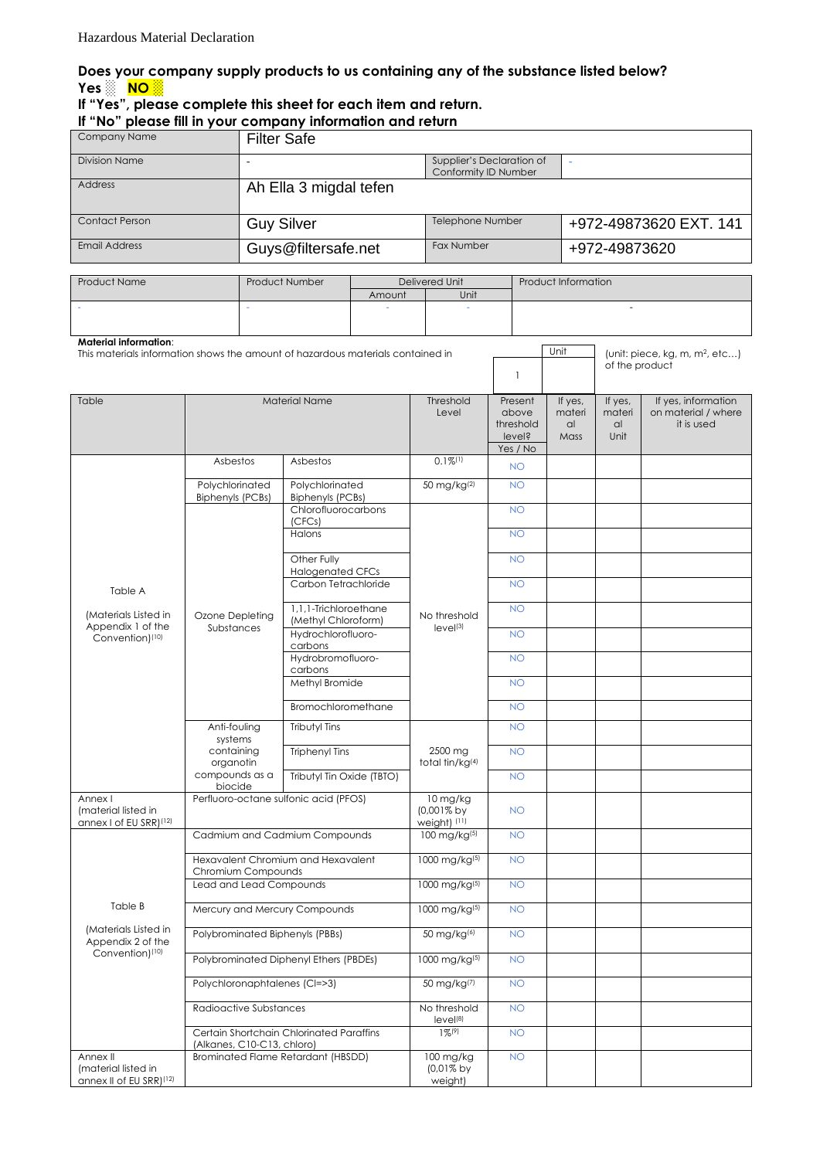## **Does your company supply products to us containing any of the substance listed below? Yes ░ NO ░**

## **If "Yes", please complete this sheet for each item and return. If "No" please fill in your company information and return**

| Company Name                                                                    |                                                                                                                      | <b>Filter Safe</b>                                                                                                                                    |                     |                                        |                                                   |                               |                                                              |                         |                                                          |  |
|---------------------------------------------------------------------------------|----------------------------------------------------------------------------------------------------------------------|-------------------------------------------------------------------------------------------------------------------------------------------------------|---------------------|----------------------------------------|---------------------------------------------------|-------------------------------|--------------------------------------------------------------|-------------------------|----------------------------------------------------------|--|
| <b>Division Name</b>                                                            |                                                                                                                      |                                                                                                                                                       |                     |                                        | Supplier's Declaration of<br>Conformity ID Number |                               |                                                              |                         |                                                          |  |
| <b>Address</b>                                                                  |                                                                                                                      | Ah Ella 3 migdal tefen                                                                                                                                |                     |                                        |                                                   |                               |                                                              |                         |                                                          |  |
| <b>Contact Person</b>                                                           |                                                                                                                      | <b>Guy Silver</b>                                                                                                                                     |                     | Telephone Number                       |                                                   |                               |                                                              | +972-49873620 EXT. 141  |                                                          |  |
| <b>Email Address</b>                                                            |                                                                                                                      | Guys@filtersafe.net                                                                                                                                   |                     | Fax Number                             |                                                   |                               | +972-49873620                                                |                         |                                                          |  |
| Product Name                                                                    |                                                                                                                      | Product Number                                                                                                                                        |                     | Delivered Unit                         |                                                   |                               |                                                              | Product Information     |                                                          |  |
|                                                                                 |                                                                                                                      | Amount                                                                                                                                                |                     | Unit                                   |                                                   |                               | ÷.                                                           |                         |                                                          |  |
|                                                                                 |                                                                                                                      |                                                                                                                                                       |                     |                                        |                                                   |                               |                                                              |                         |                                                          |  |
| <b>Material information:</b>                                                    |                                                                                                                      |                                                                                                                                                       |                     |                                        |                                                   |                               | Unit                                                         |                         |                                                          |  |
| This materials information shows the amount of hazardous materials contained in |                                                                                                                      |                                                                                                                                                       |                     | $\mathbf{1}$                           |                                                   |                               | (unit: piece, kg, m, m <sup>2</sup> , etc)<br>of the product |                         |                                                          |  |
| Table                                                                           |                                                                                                                      | <b>Material Name</b>                                                                                                                                  |                     | Threshold<br>Level                     |                                                   | Present<br>above<br>threshold | If yes,<br>materi<br>al                                      | If yes,<br>materi<br>al | If yes, information<br>on material / where<br>it is used |  |
|                                                                                 |                                                                                                                      |                                                                                                                                                       |                     |                                        |                                                   | level?<br>Yes / No            | Mass                                                         | Unit                    |                                                          |  |
| Table A                                                                         | Asbestos                                                                                                             | Asbestos                                                                                                                                              |                     | $0.1\%$ <sup>(1)</sup>                 |                                                   | <b>NO</b>                     |                                                              |                         |                                                          |  |
|                                                                                 | Polychlorinated                                                                                                      | Polychlorinated                                                                                                                                       |                     | 50 mg/kg(2)                            |                                                   | <b>NO</b>                     |                                                              |                         |                                                          |  |
|                                                                                 | <b>Biphenyls (PCBs)</b>                                                                                              | <b>Biphenyls (PCBs)</b>                                                                                                                               | Chlorofluorocarbons |                                        |                                                   | <b>NO</b>                     |                                                              |                         |                                                          |  |
|                                                                                 |                                                                                                                      | (CFCs)<br>Halons                                                                                                                                      |                     | No threshold<br>level(3)               |                                                   | <b>NO</b>                     |                                                              |                         |                                                          |  |
|                                                                                 |                                                                                                                      | Other Fully                                                                                                                                           |                     |                                        |                                                   | <b>NO</b>                     |                                                              |                         |                                                          |  |
|                                                                                 |                                                                                                                      | <b>Halogenated CFCs</b><br>Carbon Tetrachloride<br>1,1,1-Trichloroethane<br>(Methyl Chloroform)<br>Hydrochlorofluoro-<br>carbons<br>Hydrobromofluoro- |                     |                                        |                                                   | <b>NO</b>                     |                                                              |                         |                                                          |  |
|                                                                                 |                                                                                                                      |                                                                                                                                                       |                     |                                        |                                                   | <b>NO</b>                     |                                                              |                         |                                                          |  |
| (Materials Listed in<br>Appendix 1 of the<br>Convention) <sup>(10)</sup>        | Ozone Depleting<br>Substances                                                                                        |                                                                                                                                                       |                     |                                        |                                                   | <b>NO</b>                     |                                                              |                         |                                                          |  |
|                                                                                 |                                                                                                                      |                                                                                                                                                       |                     |                                        |                                                   | <b>NO</b>                     |                                                              |                         |                                                          |  |
|                                                                                 |                                                                                                                      | carbons<br>Methyl Bromide                                                                                                                             |                     |                                        |                                                   |                               |                                                              |                         |                                                          |  |
|                                                                                 |                                                                                                                      |                                                                                                                                                       |                     |                                        |                                                   | <b>NO</b>                     |                                                              |                         |                                                          |  |
|                                                                                 |                                                                                                                      | Bromochloromethane                                                                                                                                    |                     |                                        |                                                   | <b>NO</b>                     |                                                              |                         |                                                          |  |
|                                                                                 | Anti-fouling<br>systems                                                                                              | <b>Tributyl Tins</b><br><b>Triphenyl Tins</b><br>Tributyl Tin Oxide (TBTO)                                                                            |                     | 2500 mg<br>total tin/kg <sup>(4)</sup> |                                                   | <b>NO</b>                     |                                                              |                         |                                                          |  |
|                                                                                 | containing<br>organotin                                                                                              |                                                                                                                                                       |                     |                                        |                                                   | <b>NO</b>                     |                                                              |                         |                                                          |  |
|                                                                                 | compounds as a<br>biocide                                                                                            |                                                                                                                                                       |                     |                                        |                                                   | <b>NO</b>                     |                                                              |                         |                                                          |  |
| Annex I<br>(material listed in<br>annex I of EU SRR)(12)                        | Perfluoro-octane sulfonic acid (PFOS)                                                                                |                                                                                                                                                       |                     | 10 mg/kg<br>(0,001% by<br>weight) (11) |                                                   | <b>NO</b>                     |                                                              |                         |                                                          |  |
|                                                                                 | Cadmium and Cadmium Compounds                                                                                        |                                                                                                                                                       |                     | $100 \text{ mg/kg}^{(5)}$              |                                                   | <b>NO</b>                     |                                                              |                         |                                                          |  |
|                                                                                 | Hexavalent Chromium and Hexavalent<br>Chromium Compounds<br>Lead and Lead Compounds<br>Mercury and Mercury Compounds |                                                                                                                                                       |                     | 1000 mg/kg(5)                          |                                                   | <b>NO</b>                     |                                                              |                         |                                                          |  |
|                                                                                 |                                                                                                                      |                                                                                                                                                       |                     | 1000 mg/kg(5)                          |                                                   | <b>NO</b>                     |                                                              |                         |                                                          |  |
| Table B                                                                         |                                                                                                                      |                                                                                                                                                       |                     | 1000 mg/kg(5)                          |                                                   | <b>NO</b>                     |                                                              |                         |                                                          |  |
| (Materials Listed in<br>Appendix 2 of the<br>Convention) <sup>(10)</sup>        | Polybrominated Biphenyls (PBBs)                                                                                      |                                                                                                                                                       |                     | 50 mg/kg(6)                            |                                                   | <b>NO</b>                     |                                                              |                         |                                                          |  |
|                                                                                 | Polybrominated Diphenyl Ethers (PBDEs)                                                                               |                                                                                                                                                       |                     | 1000 mg/kg(5)                          |                                                   | <b>NO</b>                     |                                                              |                         |                                                          |  |
|                                                                                 | Polychloronaphtalenes (CI=>3)                                                                                        |                                                                                                                                                       |                     | 50 mg/kg(7)                            |                                                   | <b>NO</b>                     |                                                              |                         |                                                          |  |
|                                                                                 | Radioactive Substances                                                                                               |                                                                                                                                                       |                     | No threshold<br>level(8)               |                                                   | <b>NO</b>                     |                                                              |                         |                                                          |  |
|                                                                                 | Certain Shortchain Chlorinated Paraffins<br>(Alkanes, C10-C13, chloro)                                               |                                                                                                                                                       |                     | $1\%^{(9)}$                            |                                                   | <b>NO</b>                     |                                                              |                         |                                                          |  |
| Annex II<br>(material listed in<br>annex II of EU SRR)(12)                      | Brominated Flame Retardant (HBSDD)                                                                                   |                                                                                                                                                       |                     | 100 mg/kg<br>(0,01% by<br>weight)      |                                                   | <b>NO</b>                     |                                                              |                         |                                                          |  |